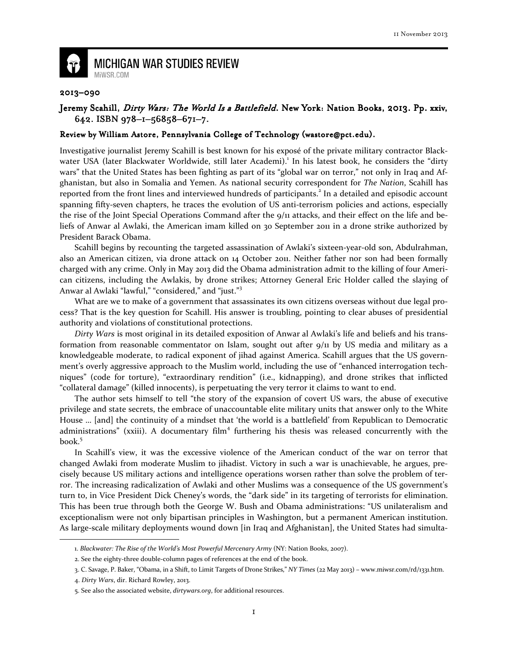

## **MICHIGAN WAR STUDIES REVIEW** MiWSR.COM

## 2013–090

## Jeremy Scahill, Dirty Wars: The World Is a Battlefield. New York: Nation Books, 2013. Pp. xxiv, 642. ISBN 978-1-56858-671-7.

## Review by William Astore, Pennsylvania College of Technology (wastore@pct.edu).

Investigative journalist Jeremy Scahill is best known for his exposé of the private military contractor Blackwater USA (later Blackwater Worldwide, still later Academi).<sup>1</sup> In his latest book, he considers the "dirty wars" that the United States has been fighting as part of its "global war on terror," not only in Iraq and Afghanistan, but also in Somalia and Yemen. As national security correspondent for The Nation, Scahill has reported from the front lines and interviewed hundreds of participants.<sup>2</sup> In a detailed and episodic account spanning fifty-seven chapters, he traces the evolution of US anti-terrorism policies and actions, especially the rise of the Joint Special Operations Command after the 9/11 attacks, and their effect on the life and beliefs of Anwar al Awlaki, the American imam killed on 30 September 2011 in a drone strike authorized by President Barack Obama.

Scahill begins by recounting the targeted assassination of Awlaki's sixteen-year-old son, Abdulrahman, also an American citizen, via drone attack on 14 October 2011. Neither father nor son had been formally charged with any crime. Only in May 2013 did the Obama administration admit to the killing of four American citizens, including the Awlakis, by drone strikes; Attorney General Eric Holder called the slaying of Anwar al Awlaki "lawful," "considered," and "just."<sup>3</sup>

What are we to make of a government that assassinates its own citizens overseas without due legal process? That is the key question for Scahill. His answer is troubling, pointing to clear abuses of presidential authority and violations of constitutional protections.

Dirty Wars is most original in its detailed exposition of Anwar al Awlaki's life and beliefs and his transformation from reasonable commentator on Islam, sought out after  $9/11$  by US media and military as a knowledgeable moderate, to radical exponent of jihad against America. Scahill argues that the US government's overly aggressive approach to the Muslim world, including the use of "enhanced interrogation techniques" (code for torture), "extraordinary rendition" (i.e., kidnapping), and drone strikes that inflicted "collateral damage" (killed innocents), is perpetuating the very terror it claims to want to end.

The author sets himself to tell "the story of the expansion of covert US wars, the abuse of executive privilege and state secrets, the embrace of unaccountable elite military units that answer only to the White House … [and] the continuity of a mindset that 'the world is a battlefield' from Republican to Democratic administrations" (xxiii). A documentary film<sup>4</sup> furthering his thesis was released concurrently with the book.<sup>5</sup>

In Scahill's view, it was the excessive violence of the American conduct of the war on terror that changed Awlaki from moderate Muslim to jihadist. Victory in such a war is unachievable, he argues, precisely because US military actions and intelligence operations worsen rather than solve the problem of terror. The increasing radicalization of Awlaki and other Muslims was a consequence of the US government's turn to, in Vice President Dick Cheney's words, the "dark side" in its targeting of terrorists for elimination. This has been true through both the George W. Bush and Obama administrations: "US unilateralism and exceptionalism were not only bipartisan principles in Washington, but a permanent American institution. As large-scale military deployments wound down [in Iraq and Afghanistan], the United States had simulta-  $\overline{\phantom{0}}$ 

<sup>1.</sup> Blackwater: The Rise of the World's Most Powerful Mercenary Army (NY: Nation Books, 2007).

<sup>2.</sup> See the eighty-three double-column pages of references at the end of the book.

<sup>3.</sup> C. Savage, P. Baker, "Obama, in a Shift, to Limit Targets of Drone Strikes," NY Times (22 May 2013) – www.miwsr.com/rd/1331.htm.

<sup>4.</sup> Dirty Wars, dir. Richard Rowley, 2013.

<sup>5.</sup> See also the associated website, dirtywars.org, for additional resources.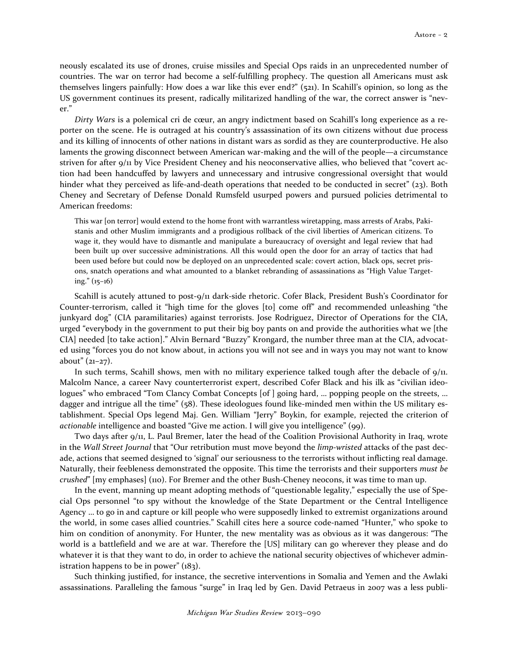neously escalated its use of drones, cruise missiles and Special Ops raids in an unprecedented number of countries. The war on terror had become a self-fulfilling prophecy. The question all Americans must ask themselves lingers painfully: How does a war like this ever end?" (521). In Scahill's opinion, so long as the US government continues its present, radically militarized handling of the war, the correct answer is "never."

Dirty Wars is a polemical cri de cœur, an angry indictment based on Scahill's long experience as a reporter on the scene. He is outraged at his country's assassination of its own citizens without due process and its killing of innocents of other nations in distant wars as sordid as they are counterproductive. He also laments the growing disconnect between American war-making and the will of the people—a circumstance striven for after 9/11 by Vice President Cheney and his neoconservative allies, who believed that "covert action had been handcuffed by lawyers and unnecessary and intrusive congressional oversight that would hinder what they perceived as life-and-death operations that needed to be conducted in secret" (23). Both Cheney and Secretary of Defense Donald Rumsfeld usurped powers and pursued policies detrimental to American freedoms:

This war [on terror] would extend to the home front with warrantless wiretapping, mass arrests of Arabs, Pakistanis and other Muslim immigrants and a prodigious rollback of the civil liberties of American citizens. To wage it, they would have to dismantle and manipulate a bureaucracy of oversight and legal review that had been built up over successive administrations. All this would open the door for an array of tactics that had been used before but could now be deployed on an unprecedented scale: covert action, black ops, secret prisons, snatch operations and what amounted to a blanket rebranding of assassinations as "High Value Targeting." (15–16)

Scahill is acutely attuned to post-9/11 dark-side rhetoric. Cofer Black, President Bush's Coordinator for Counter-terrorism, called it "high time for the gloves [to] come off" and recommended unleashing "the junkyard dog" (CIA paramilitaries) against terrorists. Jose Rodriguez, Director of Operations for the CIA, urged "everybody in the government to put their big boy pants on and provide the authorities what we [the CIA] needed [to take action]." Alvin Bernard "Buzzy" Krongard, the number three man at the CIA, advocated using "forces you do not know about, in actions you will not see and in ways you may not want to know about"  $(21-27)$ .

In such terms, Scahill shows, men with no military experience talked tough after the debacle of 9/11. Malcolm Nance, a career Navy counterterrorist expert, described Cofer Black and his ilk as "civilian ideologues" who embraced "Tom Clancy Combat Concepts [of ] going hard, … popping people on the streets, … dagger and intrigue all the time" (58). These ideologues found like-minded men within the US military establishment. Special Ops legend Maj. Gen. William "Jerry" Boykin, for example, rejected the criterion of actionable intelligence and boasted "Give me action. I will give you intelligence" (99).

Two days after 9/11, L. Paul Bremer, later the head of the Coalition Provisional Authority in Iraq, wrote in the Wall Street Journal that "Our retribution must move beyond the limp-wristed attacks of the past decade, actions that seemed designed to 'signal' our seriousness to the terrorists without inflicting real damage. Naturally, their feebleness demonstrated the opposite. This time the terrorists and their supporters must be crushed" [my emphases] (110). For Bremer and the other Bush-Cheney neocons, it was time to man up.

In the event, manning up meant adopting methods of "questionable legality," especially the use of Special Ops personnel "to spy without the knowledge of the State Department or the Central Intelligence Agency … to go in and capture or kill people who were supposedly linked to extremist organizations around the world, in some cases allied countries." Scahill cites here a source code-named "Hunter," who spoke to him on condition of anonymity. For Hunter, the new mentality was as obvious as it was dangerous: "The world is a battlefield and we are at war. Therefore the [US] military can go wherever they please and do whatever it is that they want to do, in order to achieve the national security objectives of whichever administration happens to be in power"  $(183)$ .

Such thinking justified, for instance, the secretive interventions in Somalia and Yemen and the Awlaki assassinations. Paralleling the famous "surge" in Iraq led by Gen. David Petraeus in 2007 was a less publi